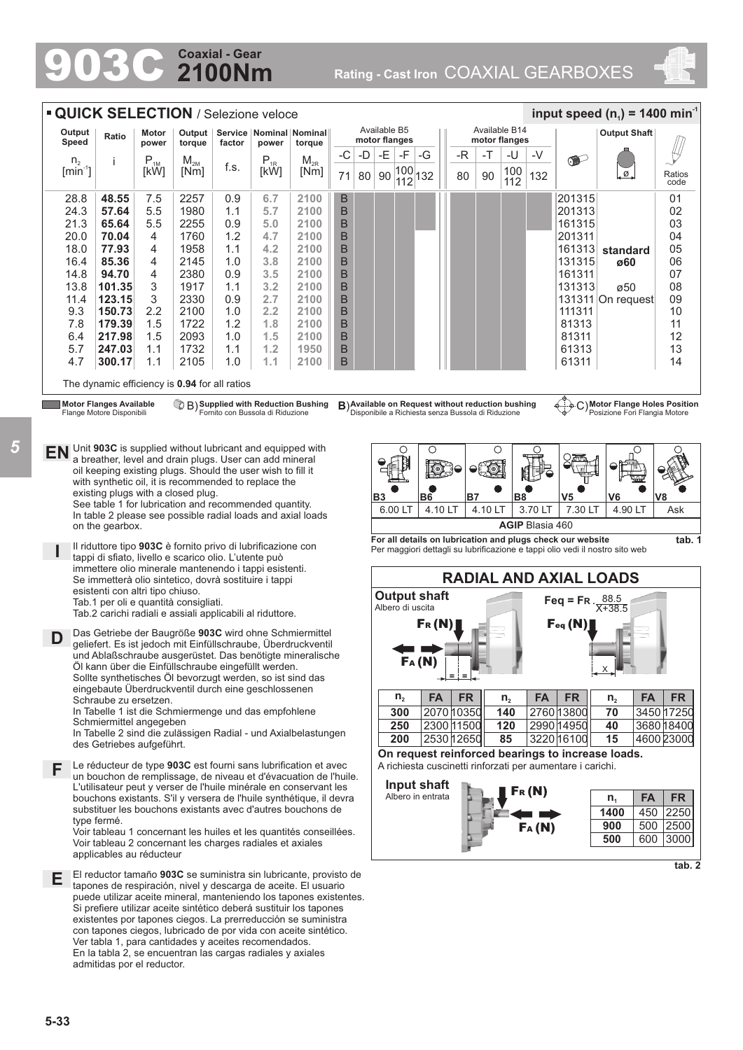## **2100Nm Coaxial - Gear**

903C **Rating - Cast Iron** COAXIAL GEARBOXES